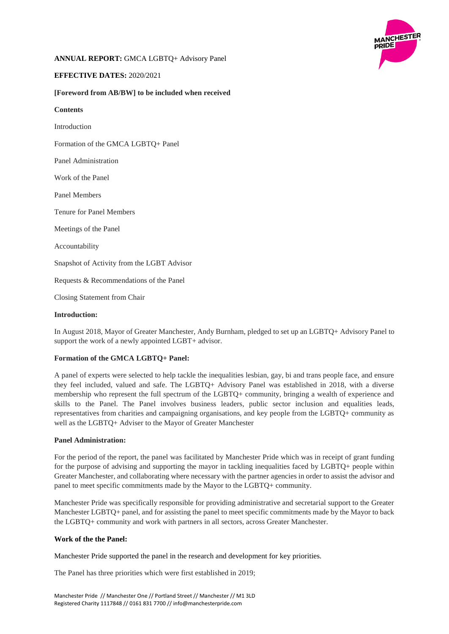

# **ANNUAL REPORT:** GMCA LGBTQ+ Advisory Panel

# **EFFECTIVE DATES:** 2020/2021

## **[Foreword from AB/BW] to be included when received**

### **Contents**

Introduction

Formation of the GMCA LGBTQ+ Panel

Panel Administration

Work of the Panel

Panel Members

Tenure for Panel Members

Meetings of the Panel

Accountability

Snapshot of Activity from the LGBT Advisor

Requests & Recommendations of the Panel

Closing Statement from Chair

### **Introduction:**

In August 2018, Mayor of Greater Manchester, Andy Burnham, pledged to set up an LGBTQ+ Advisory Panel to support the work of a newly appointed LGBT+ advisor.

## **Formation of the GMCA LGBTQ+ Panel:**

A panel of experts were selected to help tackle the inequalities lesbian, gay, bi and trans people face, and ensure they feel included, valued and safe. The LGBTQ+ Advisory Panel was established in 2018, with a diverse membership who represent the full spectrum of the LGBTQ+ community, bringing a wealth of experience and skills to the Panel. The Panel involves business leaders, public sector inclusion and equalities leads, representatives from charities and campaigning organisations, and key people from the LGBTQ+ community as well as the LGBTQ+ Adviser to the Mayor of Greater Manchester

### **Panel Administration:**

For the period of the report, the panel was facilitated by Manchester Pride which was in receipt of grant funding for the purpose of advising and supporting the mayor in tackling inequalities faced by LGBTQ+ people within Greater Manchester, and collaborating where necessary with the partner agencies in order to assist the advisor and panel to meet specific commitments made by the Mayor to the LGBTQ+ community.

Manchester Pride was specifically responsible for providing administrative and secretarial support to the Greater Manchester LGBTQ+ panel, and for assisting the panel to meet specific commitments made by the Mayor to back the LGBTQ+ community and work with partners in all sectors, across Greater Manchester.

#### **Work of the the Panel:**

Manchester Pride supported the panel in the research and development for key priorities.

The Panel has three priorities which were first established in 2019;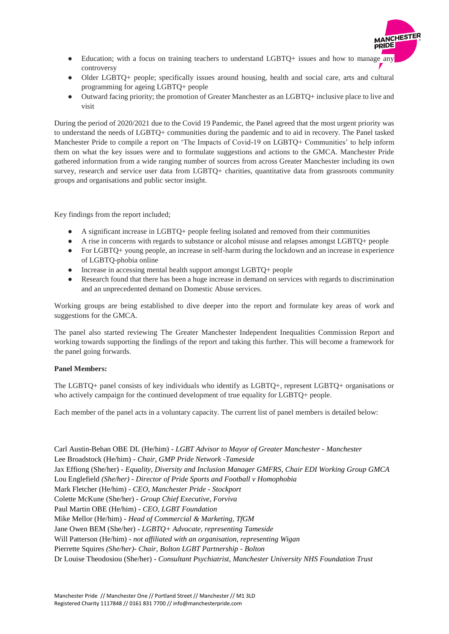- Education; with a focus on training teachers to understand LGBTQ+ issues and how to manage any controversy
- Older LGBTQ+ people; specifically issues around housing, health and social care, arts and cultural programming for ageing LGBTQ+ people
- Outward facing priority; the promotion of Greater Manchester as an LGBTQ+ inclusive place to live and visit

During the period of 2020/2021 due to the Covid 19 Pandemic, the Panel agreed that the most urgent priority was to understand the needs of LGBTQ+ communities during the pandemic and to aid in recovery. The Panel tasked Manchester Pride to compile a report on 'The Impacts of Covid-19 on LGBTQ+ Communities' to help inform them on what the key issues were and to formulate suggestions and actions to the GMCA. Manchester Pride gathered information from a wide ranging number of sources from across Greater Manchester including its own survey, research and service user data from LGBTQ+ charities, quantitative data from grassroots community groups and organisations and public sector insight.

Key findings from the report included;

- A significant increase in LGBTQ+ people feeling isolated and removed from their communities
- A rise in concerns with regards to substance or alcohol misuse and relapses amongst LGBTQ+ people
- For LGBTQ+ young people, an increase in self-harm during the lockdown and an increase in experience of LGBTQ-phobia online
- Increase in accessing mental health support amongst LGBTQ+ people
- Research found that there has been a huge increase in demand on services with regards to discrimination and an unprecedented demand on Domestic Abuse services.

Working groups are being established to dive deeper into the report and formulate key areas of work and suggestions for the GMCA.

The panel also started reviewing The Greater Manchester Independent Inequalities Commission Report and working towards supporting the findings of the report and taking this further. This will become a framework for the panel going forwards.

## **Panel Members:**

The LGBTQ+ panel consists of key individuals who identify as LGBTQ+, represent LGBTQ+ organisations or who actively campaign for the continued development of true equality for LGBTQ+ people.

Each member of the panel acts in a voluntary capacity. The current list of panel members is detailed below:

Carl Austin-Behan OBE DL (He/him) *- LGBT Advisor to Mayor of Greater Manchester - Manchester* Lee Broadstock (He/him) - *Chair, GMP Pride Network -Tameside* Jax Effiong (She/her) *- Equality, Diversity and Inclusion Manager GMFRS, Chair EDI Working Group GMCA*  Lou Englefield *(She/her) - Director of Pride Sports and Football v Homophobia* Mark Fletcher (He/him) *- CEO, Manchester Pride - Stockport* Colette McKune (She/her) *- Group Chief Executive, Forviva* Paul Martin OBE (He/him) *- CEO, LGBT Foundation* Mike Mellor (He/him) *- Head of Commercial & Marketing, TfGM* Jane Owen BEM (She/her) - *LGBTQ+ Advocate, representing Tameside* Will Patterson (He/him) *- not affiliated with an organisation, representing Wigan* Pierrette Squires *(She/her)- Chair, Bolton LGBT Partnership - Bolton* Dr Louise Theodosiou (She/her) *- Consultant Psychiatrist, Manchester University NHS Foundation Trust*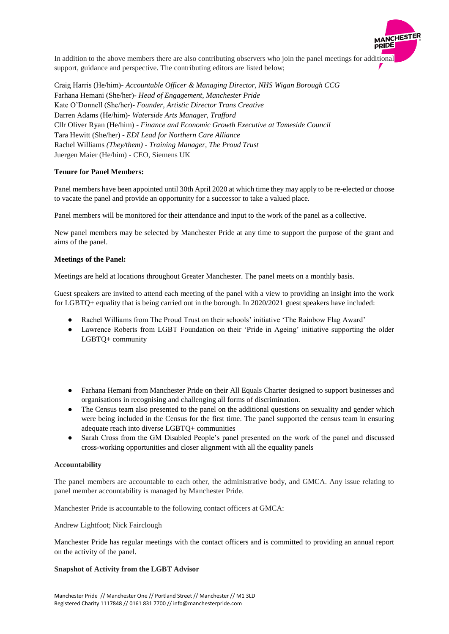

Craig Harris (He/him)*- Accountable Officer & Managing Director, NHS Wigan Borough CCG* Farhana Hemani (She/her)*- Head of Engagement, Manchester Pride* Kate O'Donnell (She/her)- *Founder, Artistic Director Trans Creative* Darren Adams (He/him)- *Waterside Arts Manager, Trafford*  Cllr Oliver Ryan (He/him) - *Finance and Economic Growth Executive at Tameside Council* Tara Hewitt (She/her) - *EDI Lead for Northern Care Alliance* Rachel Williams *(They/them) - Training Manager, The Proud Trust* Juergen Maier (He/him) - CEO, Siemens UK

## **Tenure for Panel Members:**

Panel members have been appointed until 30th April 2020 at which time they may apply to be re-elected or choose to vacate the panel and provide an opportunity for a successor to take a valued place.

Panel members will be monitored for their attendance and input to the work of the panel as a collective.

New panel members may be selected by Manchester Pride at any time to support the purpose of the grant and aims of the panel.

### **Meetings of the Panel:**

Meetings are held at locations throughout Greater Manchester. The panel meets on a monthly basis.

Guest speakers are invited to attend each meeting of the panel with a view to providing an insight into the work for LGBTQ+ equality that is being carried out in the borough. In 2020/2021 guest speakers have included:

- Rachel Williams from The Proud Trust on their schools' initiative 'The Rainbow Flag Award'
- Lawrence Roberts from LGBT Foundation on their 'Pride in Ageing' initiative supporting the older LGBTQ+ community
- Farhana Hemani from Manchester Pride on their All Equals Charter designed to support businesses and organisations in recognising and challenging all forms of discrimination.
- The Census team also presented to the panel on the additional questions on sexuality and gender which were being included in the Census for the first time. The panel supported the census team in ensuring adequate reach into diverse LGBTQ+ communities
- Sarah Cross from the GM Disabled People's panel presented on the work of the panel and discussed cross-working opportunities and closer alignment with all the equality panels

#### **Accountability**

The panel members are accountable to each other, the administrative body, and GMCA. Any issue relating to panel member accountability is managed by Manchester Pride.

Manchester Pride is accountable to the following contact officers at GMCA:

Andrew Lightfoot; Nick Fairclough

Manchester Pride has regular meetings with the contact officers and is committed to providing an annual report on the activity of the panel.

#### **Snapshot of Activity from the LGBT Advisor**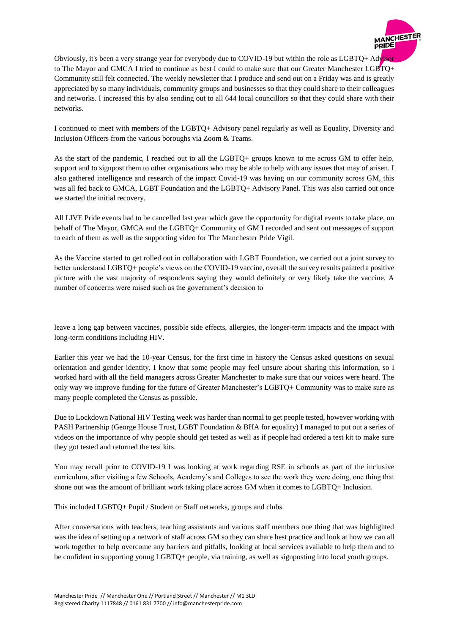

Obviously, it's been a very strange year for everybody due to COVID-19 but within the role as LGBTQ+ Advisor to The Mayor and GMCA I tried to continue as best I could to make sure that our Greater Manchester LGBTQ+ Community still felt connected. The weekly newsletter that I produce and send out on a Friday was and is greatly appreciated by so many individuals, community groups and businesses so that they could share to their colleagues and networks. I increased this by also sending out to all 644 local councillors so that they could share with their networks.

I continued to meet with members of the LGBTQ+ Advisory panel regularly as well as Equality, Diversity and Inclusion Officers from the various boroughs via Zoom & Teams.

As the start of the pandemic, I reached out to all the LGBTQ+ groups known to me across GM to offer help, support and to signpost them to other organisations who may be able to help with any issues that may of arisen. I also gathered intelligence and research of the impact Covid-19 was having on our community across GM, this was all fed back to GMCA, LGBT Foundation and the LGBTQ+ Advisory Panel. This was also carried out once we started the initial recovery.

All LIVE Pride events had to be cancelled last year which gave the opportunity for digital events to take place, on behalf of The Mayor, GMCA and the LGBTQ+ Community of GM I recorded and sent out messages of support to each of them as well as the supporting video for The Manchester Pride Vigil.

As the Vaccine started to get rolled out in collaboration with LGBT Foundation, we carried out a joint survey to better understand LGBTQ+ people's views on the COVID-19 vaccine, overall the survey results painted a positive picture with the vast majority of respondents saying they would definitely or very likely take the vaccine. A number of concerns were raised such as the government's decision to

leave a long gap between vaccines, possible side effects, allergies, the longer-term impacts and the impact with long-term conditions including HIV.

Earlier this year we had the 10-year Census, for the first time in history the Census asked questions on sexual orientation and gender identity, I know that some people may feel unsure about sharing this information, so I worked hard with all the field managers across Greater Manchester to make sure that our voices were heard. The only way we improve funding for the future of Greater Manchester's LGBTQ+ Community was to make sure as many people completed the Census as possible.

Due to Lockdown National HIV Testing week was harder than normal to get people tested, however working with PASH Partnership (George House Trust, LGBT Foundation & BHA for equality) I managed to put out a series of videos on the importance of why people should get tested as well as if people had ordered a test kit to make sure they got tested and returned the test kits.

You may recall prior to COVID-19 I was looking at work regarding RSE in schools as part of the inclusive curriculum, after visiting a few Schools, Academy's and Colleges to see the work they were doing, one thing that shone out was the amount of brilliant work taking place across GM when it comes to LGBTQ+ Inclusion.

This included LGBTQ+ Pupil / Student or Staff networks, groups and clubs.

After conversations with teachers, teaching assistants and various staff members one thing that was highlighted was the idea of setting up a network of staff across GM so they can share best practice and look at how we can all work together to help overcome any barriers and pitfalls, looking at local services available to help them and to be confident in supporting young LGBTQ+ people, via training, as well as signposting into local youth groups.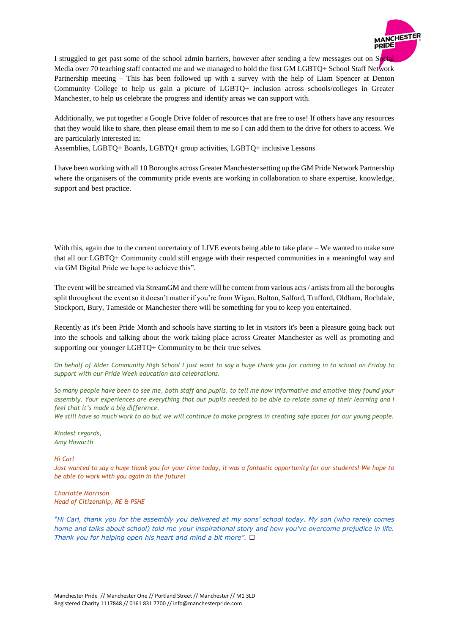

I struggled to get past some of the school admin barriers, however after sending a few messages out on Social Media over 70 teaching staff contacted me and we managed to hold the first GM LGBTQ+ School Staff Network Partnership meeting – This has been followed up with a survey with the help of Liam Spencer at Denton Community College to help us gain a picture of LGBTQ+ inclusion across schools/colleges in Greater Manchester, to help us celebrate the progress and identify areas we can support with.

Additionally, we put together a Google Drive folder of resources that are free to use! If others have any resources that they would like to share, then please email them to me so I can add them to the drive for others to access. We are particularly interested in:

Assemblies, LGBTQ+ Boards, LGBTQ+ group activities, LGBTQ+ inclusive Lessons

I have been working with all 10 Boroughs across Greater Manchester setting up the GM Pride Network Partnership where the organisers of the community pride events are working in collaboration to share expertise, knowledge, support and best practice.

With this, again due to the current uncertainty of LIVE events being able to take place – We wanted to make sure that all our LGBTQ+ Community could still engage with their respected communities in a meaningful way and via GM Digital Pride we hope to achieve this".

The event will be streamed via StreamGM and there will be content from various acts / artists from all the boroughs split throughout the event so it doesn't matter if you're from Wigan, Bolton, Salford, Trafford, Oldham, Rochdale, Stockport, Bury, Tameside or Manchester there will be something for you to keep you entertained.

Recently as it's been Pride Month and schools have starting to let in visitors it's been a pleasure going back out into the schools and talking about the work taking place across Greater Manchester as well as promoting and supporting our younger LGBTQ+ Community to be their true selves.

*On behalf of Alder Community High School I just want to say a huge thank you for coming in to school on Friday to support with our Pride Week education and celebrations.* 

*So many people have been to see me, both staff and pupils, to tell me how informative and emotive they found your assembly. Your experiences are everything that our pupils needed to be able to relate some of their learning and I feel that it's made a big difference.*

*We still have so much work to do but we will continue to make progress in creating safe spaces for our young people.*

*Kindest regards, Amy Howarth*

#### *Hi Carl*

*Just wanted to say a huge thank you for your time today, it was a fantastic opportunity for our students! We hope to be able to work with you again in the future!*

*Charlotte Morrison Head of Citizenship, RE & PSHE*

*"Hi Carl, thank you for the assembly you delivered at my sons' school today. My son (who rarely comes home and talks about school) told me your inspirational story and how you've overcome prejudice in life. Thank you for helping open his heart and mind a bit more".*